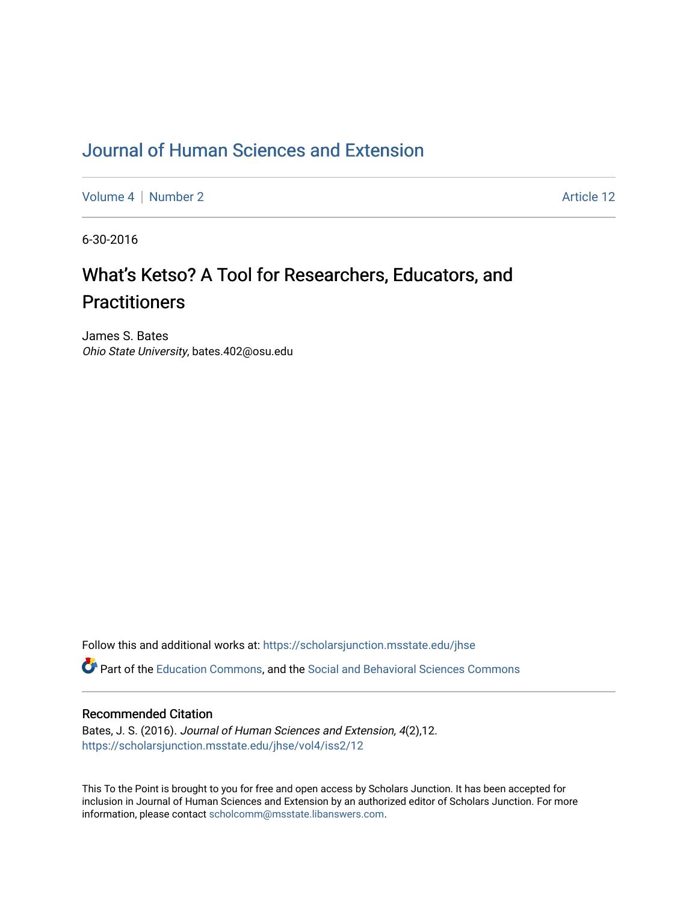## [Journal of Human Sciences and Extension](https://scholarsjunction.msstate.edu/jhse)

[Volume 4](https://scholarsjunction.msstate.edu/jhse/vol4) | [Number 2](https://scholarsjunction.msstate.edu/jhse/vol4/iss2) Article 12

6-30-2016

# What's Ketso? A Tool for Researchers, Educators, and **Practitioners**

James S. Bates Ohio State University, bates.402@osu.edu

Follow this and additional works at: [https://scholarsjunction.msstate.edu/jhse](https://scholarsjunction.msstate.edu/jhse?utm_source=scholarsjunction.msstate.edu%2Fjhse%2Fvol4%2Fiss2%2F12&utm_medium=PDF&utm_campaign=PDFCoverPages)

Part of the [Education Commons](http://network.bepress.com/hgg/discipline/784?utm_source=scholarsjunction.msstate.edu%2Fjhse%2Fvol4%2Fiss2%2F12&utm_medium=PDF&utm_campaign=PDFCoverPages), and the [Social and Behavioral Sciences Commons](http://network.bepress.com/hgg/discipline/316?utm_source=scholarsjunction.msstate.edu%2Fjhse%2Fvol4%2Fiss2%2F12&utm_medium=PDF&utm_campaign=PDFCoverPages) 

#### Recommended Citation

Bates, J. S. (2016). Journal of Human Sciences and Extension, 4(2),12. [https://scholarsjunction.msstate.edu/jhse/vol4/iss2/12](https://scholarsjunction.msstate.edu/jhse/vol4/iss2/12?utm_source=scholarsjunction.msstate.edu%2Fjhse%2Fvol4%2Fiss2%2F12&utm_medium=PDF&utm_campaign=PDFCoverPages) 

This To the Point is brought to you for free and open access by Scholars Junction. It has been accepted for inclusion in Journal of Human Sciences and Extension by an authorized editor of Scholars Junction. For more information, please contact [scholcomm@msstate.libanswers.com](mailto:scholcomm@msstate.libanswers.com).